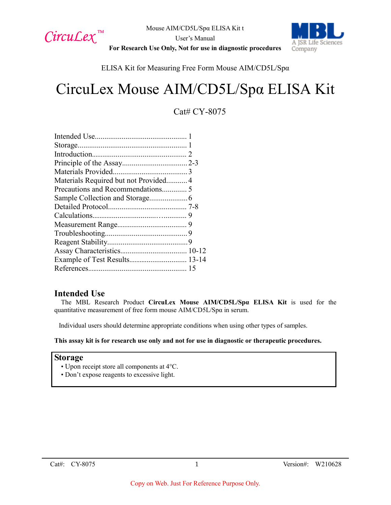

A ISR Life Sciences Company

**For Research Use Only, Not for use in diagnostic procedures**

## ELISA Kit for Measuring Free Form Mouse AIM/CD5L/Spα

# CircuLex Mouse AIM/CD5L/Spα ELISA Kit

## Cat# CY-8075

| Materials Required but not Provided4 |  |
|--------------------------------------|--|
|                                      |  |
|                                      |  |
|                                      |  |
|                                      |  |
|                                      |  |
|                                      |  |
|                                      |  |
|                                      |  |
| Example of Test Results 13-14        |  |
|                                      |  |
|                                      |  |

## **Intended Use**

The MBL Research Product **CircuLex Mouse AIM/CD5L/Spα ELISA Kit** is used for the quantitative measurement of free form mouse AIM/CD5L/Spα in serum.

Individual users should determine appropriate conditions when using other types of samples.

**This assay kit is for research use only and not for use in diagnostic or therapeutic procedures.**

#### **Storage**

- Upon receipt store all components at 4°C.
- Don't expose reagents to excessive light.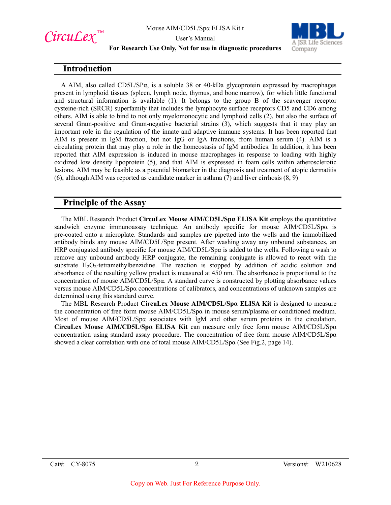

User's Manual



**For Research Use Only, Not for use in diagnostic procedures**

### **Introduction**

A AIM, also called CD5L/SP $\alpha$ , is a soluble 38 or 40-kDa glycoprotein expressed by macrophages present in lymphoid tissues (spleen, lymph node, thymus, and bone marrow), for which little functional and structural information is available (1). It belongs to the group B of the scavenger receptor cysteine-rich (SRCR) superfamily that includes the lymphocyte surface receptors CD5 and CD6 among others. AIM is able to bind to not only myelomonocytic and lymphoid cells (2), but also the surface of several Gram-positive and Gram-negative bacterial strains (3), which suggests that it may play an important role in the regulation of the innate and adaptive immune systems. It has been reported that AIM is present in IgM fraction, but not IgG or IgA fractions, from human serum (4). AIM is a circulating protein that may play a role in the homeostasis of IgM antibodies. In addition, it has been reported that AIM expression is induced in mouse macrophages in response to loading with highly oxidized low density lipoprotein (5), and that AIM is expressed in foam cells within atherosclerotic lesions. AIM may be feasible as a potential biomarker in the diagnosis and treatment of atopic dermatitis (6), although AIM was reported as candidate marker in asthma (7) and liver cirrhosis (8, 9)

## **Principle of the Assay**

The MBL Research Product **CircuLex Mouse AIM/CD5L/Spα ELISA Kit** employs the quantitative sandwich enzyme immunoassay technique. An antibody specific for mouse  $\text{AIM/CD5L/Sp}\alpha$  is pre-coated onto a microplate. Standards and samples are pipetted into the wells and the immobilized antibody binds any mouse AIM/CD5L/Spα present. After washing away any unbound substances, an HRP conjugated antibody specific for mouse AIM/CD5L/Spα is added to the wells. Following a wash to remove any unbound antibody HRP conjugate, the remaining conjugate is allowed to react with the substrate H<sub>2</sub>O<sub>2</sub>-tetramethylbenzidine. The reaction is stopped by addition of acidic solution and absorbance of the resulting yellow product is measured at 450 nm. The absorbance is proportional to the concentration of mouse AIM/CD5L/Spα. A standard curve is constructed by plotting absorbance values versus mouse AIM/CD5L/Spα concentrations of calibrators, and concentrations of unknown samples are determined using this standard curve.

The MBL Research Product **CircuLex Mouse AIM/CD5L/Spα ELISA Kit** is designed to measure the concentration of free form mouse AIM/CD5L/Spα in mouse serum/plasma or conditioned medium. Most of mouse AIM/CD5L/Spα associates with IgM and other serum proteins in the circulation. **CircuLex Mouse AIM/CD5L/Spα ELISA Kit** can measure only free form mouse AIM/CD5L/Spα concentration using standard assay procedure. The concentration of free form mouse AIM/CD5L/Spα showed a clear correlation with one of total mouse AIM/CD5L/Spα (See Fig.2, page 14).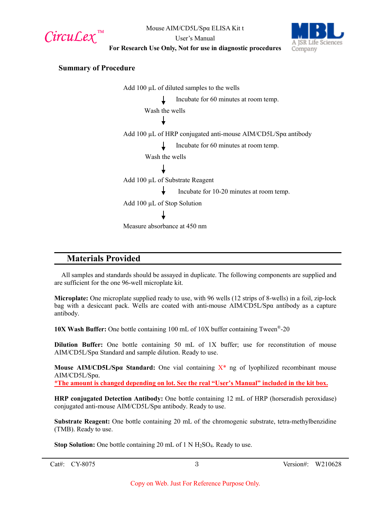CircuLex<sup>™</sup>

User's Manual



**For Research Use Only, Not for use in diagnostic procedures**

#### **Summary of Procedure**

Add 100 µL of diluted samples to the wells Incubate for 60 minutes at room temp. Wash the wells Add 100 µL of HRP conjugated anti-mouse AIM/CD5L/Spα antibody Incubate for 60 minutes at room temp. Wash the wells Add 100 µL of Substrate Reagent Incubate for 10-20 minutes at room temp. Add 100 µL of Stop Solution Measure absorbance at 450 nm

## **Materials Provided**

All samples and standards should be assayed in duplicate. The following components are supplied and are sufficient for the one 96-well microplate kit.

**Microplate:** One microplate supplied ready to use, with 96 wells (12 strips of 8-wells) in a foil, zip-lock bag with a desiccant pack. Wells are coated with anti-mouse AIM/CD5L/Spα antibody as a capture antibody.

**10X Wash Buffer:** One bottle containing 100 mL of 10X buffer containing Tween®-20

**Dilution Buffer:** One bottle containing 50 mL of 1X buffer; use for reconstitution of mouse AIM/CD5L/Spα Standard and sample dilution. Ready to use.

**Mouse AIM/CD5L/Spα Standard:** One vial containing X\* ng of lyophilized recombinant mouse AIM/CD5L/Spα.

\***The amount is changed depending on lot. See the real "User's Manual" included in the kit box.**

**HRP conjugated Detection Antibody:** One bottle containing 12 mL of HRP (horseradish peroxidase) conjugated anti-mouse AIM/CD5L/Spα antibody. Ready to use.

**Substrate Reagent:** One bottle containing 20 mL of the chromogenic substrate, tetra-methylbenzidine (TMB). Ready to use.

**Stop Solution:** One bottle containing 20 mL of 1 N H<sub>2</sub>SO<sub>4</sub>. Ready to use.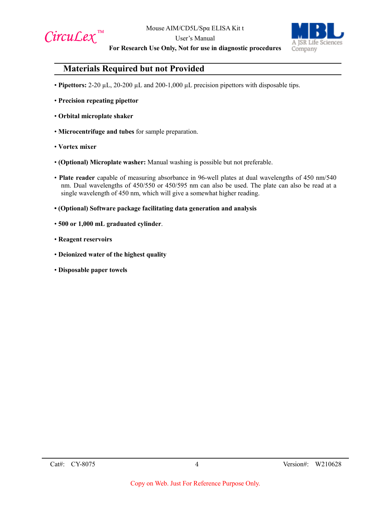

User's Manual



**For Research Use Only, Not for use in diagnostic procedures**

## **Materials Required but not Provided**

- **Pipettors:** 2-20 µL, 20-200 µL and 200-1,000 µL precision pipettors with disposable tips.
- **Precision repeating pipettor**
- **Orbital microplate shaker**
- **Microcentrifuge and tubes** for sample preparation.
- **Vortex mixer**
- **(Optional) Microplate washer:** Manual washing is possible but not preferable.
- **Plate reader** capable of measuring absorbance in 96-well plates at dual wavelengths of 450 nm/540 nm. Dual wavelengths of 450/550 or 450/595 nm can also be used. The plate can also be read at a single wavelength of 450 nm, which will give a somewhat higher reading.
- **(Optional) Software package facilitating data generation and analysis**
- **500 or 1,000 mL graduated cylinder**.
- **Reagent reservoirs**
- **Deionized water of the highest quality**
- **Disposable paper towels**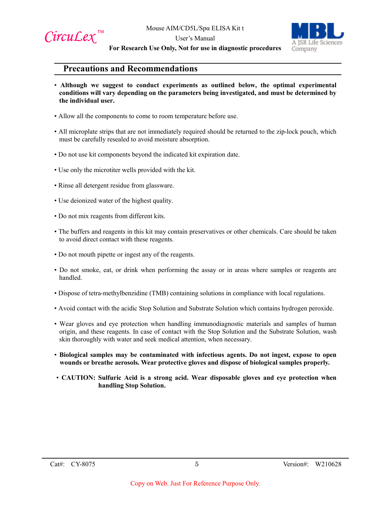

User's Manual



**For Research Use Only, Not for use in diagnostic procedures**

## **Precautions and Recommendations**

- **Although we suggest to conduct experiments as outlined below, the optimal experimental conditions will vary depending on the parameters being investigated, and must be determined by the individual user.**
- Allow all the components to come to room temperature before use.
- All microplate strips that are not immediately required should be returned to the zip-lock pouch, which must be carefully resealed to avoid moisture absorption.
- Do not use kit components beyond the indicated kit expiration date.
- Use only the microtiter wells provided with the kit.
- Rinse all detergent residue from glassware.
- Use deionized water of the highest quality.
- Do not mix reagents from different kits.
- The buffers and reagents in this kit may contain preservatives or other chemicals. Care should be taken to avoid direct contact with these reagents.
- Do not mouth pipette or ingest any of the reagents.
- Do not smoke, eat, or drink when performing the assay or in areas where samples or reagents are handled.
- Dispose of tetra-methylbenzidine (TMB) containing solutions in compliance with local regulations.
- Avoid contact with the acidic Stop Solution and Substrate Solution which contains hydrogen peroxide.
- Wear gloves and eye protection when handling immunodiagnostic materials and samples of human origin, and these reagents. In case of contact with the Stop Solution and the Substrate Solution, wash skin thoroughly with water and seek medical attention, when necessary.
- **Biological samples may be contaminated with infectious agents. Do not ingest, expose to open wounds or breathe aerosols. Wear protective gloves and dispose of biological samples properly.**
- **CAUTION: Sulfuric Acid is a strong acid. Wear disposable gloves and eye protection when handling Stop Solution.**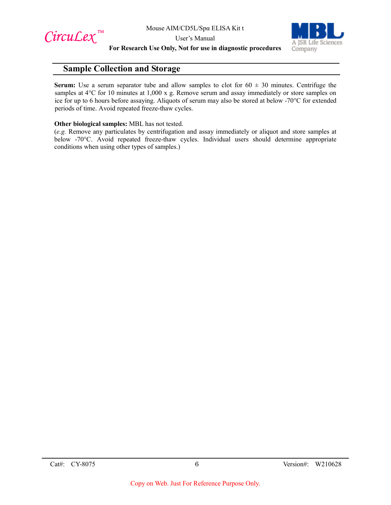$Circu$ *Lex*™

User's Manual



**For Research Use Only, Not for use in diagnostic procedures**

## **Sample Collection and Storage**

**Serum:** Use a serum separator tube and allow samples to clot for  $60 \pm 30$  minutes. Centrifuge the samples at 4°C for 10 minutes at 1,000 x g. Remove serum and assay immediately or store samples on ice for up to 6 hours before assaying. Aliquots of serum may also be stored at below -70°C for extended periods of time. Avoid repeated freeze-thaw cycles.

#### **Other biological samples:** MBL has not tested.

(*e.g.* Remove any particulates by centrifugation and assay immediately or aliquot and store samples at below -70°C. Avoid repeated freeze-thaw cycles. Individual users should determine appropriate conditions when using other types of samples.)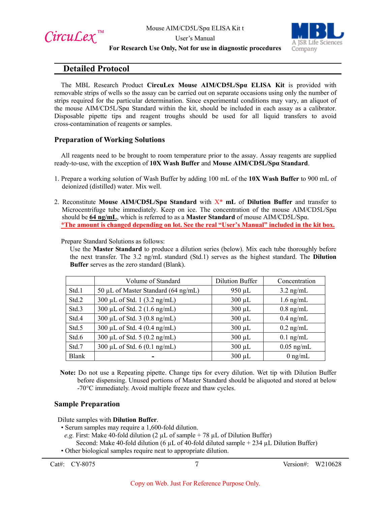





#### User's Manual **For Research Use Only, Not for use in diagnostic procedures**

## **Detailed Protocol**

The MBL Research Product **CircuLex Mouse AIM/CD5L/Spα ELISA Kit** is provided with removable strips of wells so the assay can be carried out on separate occasions using only the number of strips required for the particular determination. Since experimental conditions may vary, an aliquot of the mouse AIM/CD5L/Spα Standard within the kit, should be included in each assay as a calibrator. Disposable pipette tips and reagent troughs should be used for all liquid transfers to avoid cross-contamination of reagents or samples.

#### **Preparation of Working Solutions**

All reagents need to be brought to room temperature prior to the assay. Assay reagents are supplied ready-to-use, with the exception of **10X Wash Buffer** and **Mouse AIM/CD5L/Spα Standard**.

- 1. Prepare a working solution of Wash Buffer by adding 100 mL of the **10X Wash Buffer** to 900 mL of deionized (distilled) water. Mix well.
- 2. Reconstitute **Mouse AIM/CD5L/Spα Standard** with X\* **mL** of **Dilution Buffer** and transfer to Microcentrifuge tube immediately. Keep on ice. The concentration of the mouse AIM/CD5L/Spα should be **64 ng/mL**, which is referred to as a **Master Standard** of mouse AIM/CD5L/Spα. \***The amount is changed depending on lot. See the real "User's Manual" included in the kit box.**

Prepare Standard Solutions as follows:

Use the **Master Standard** to produce a dilution series (below). Mix each tube thoroughly before the next transfer. The 3.2 ng/mL standard (Std.1) serves as the highest standard. The **Dilution Buffer** serves as the zero standard (Blank).

|              | Volume of Standard                     | <b>Dilution Buffer</b> | Concentration       |
|--------------|----------------------------------------|------------------------|---------------------|
| Std.1        | 50 µL of Master Standard (64 ng/mL)    | $950 \mu L$            | $3.2 \text{ ng/mL}$ |
| Std.2        | 300 µL of Std. 1 (3.2 ng/mL)           | $300 \mu L$            | $1.6$ ng/mL         |
| Std.3        | 300 µL of Std. 2 $(1.6 \text{ ng/mL})$ | $300 \mu L$            | $0.8$ ng/mL         |
| Std.4        | 300 µL of Std. 3 $(0.8 \text{ ng/mL})$ | $300 \mu L$            | $0.4$ ng/mL         |
| Std.5        | 300 µL of Std. 4 $(0.4 \text{ ng/mL})$ | $300 \mu L$            | $0.2$ ng/mL         |
| Std.6        | 300 µL of Std. 5 $(0.2 \text{ ng/mL})$ | $300 \mu L$            | $0.1$ ng/mL         |
| Std.7        | 300 µL of Std. $6(0.1 \text{ ng/mL})$  | $300 \mu L$            | $0.05$ ng/mL        |
| <b>Blank</b> |                                        | $300 \mu L$            | $0$ ng/mL           |

**Note:** Do not use a Repeating pipette. Change tips for every dilution. Wet tip with Dilution Buffer before dispensing. Unused portions of Master Standard should be aliquoted and stored at below -70°C immediately. Avoid multiple freeze and thaw cycles.

#### **Sample Preparation**

Dilute samples with **Dilution Buffer**.

- Serum samples may require a 1,600-fold dilution.
- *e.g.* First: Make 40-fold dilution (2  $\mu$ L of sample + 78  $\mu$ L of Dilution Buffer)
- Second: Make 40-fold dilution (6  $\mu$ L of 40-fold diluted sample + 234  $\mu$ L Dilution Buffer)
- Other biological samples require neat to appropriate dilution.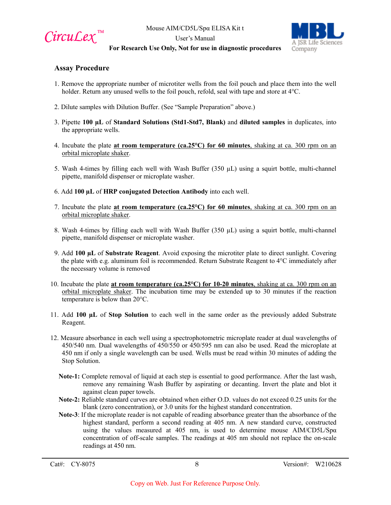

User's Manual



#### **For Research Use Only, Not for use in diagnostic procedures**

#### **Assay Procedure**

- 1. Remove the appropriate number of microtiter wells from the foil pouch and place them into the well holder. Return any unused wells to the foil pouch, refold, seal with tape and store at 4°C.
- 2. Dilute samples with Dilution Buffer. (See "Sample Preparation" above.)
- 3. Pipette **100 µL** of **Standard Solutions (Std1-Std7, Blank)** and **diluted samples** in duplicates, into the appropriate wells.
- 4. Incubate the plate **at room temperature (ca.25°C) for 60 minutes**, shaking at ca. 300 rpm on an orbital microplate shaker.
- 5. Wash 4-times by filling each well with Wash Buffer  $(350 \mu L)$  using a squirt bottle, multi-channel pipette, manifold dispenser or microplate washer.
- 6. Add **100 µL** of **HRP conjugated Detection Antibody** into each well.
- 7. Incubate the plate **at room temperature (ca.25°C) for 60 minutes**, shaking at ca. 300 rpm on an orbital microplate shaker.
- 8. Wash 4-times by filling each well with Wash Buffer (350 µL) using a squirt bottle, multi-channel pipette, manifold dispenser or microplate washer.
- 9. Add **100 µL** of **Substrate Reagent**. Avoid exposing the microtiter plate to direct sunlight. Covering the plate with e.g. aluminum foil is recommended. Return Substrate Reagent to 4°C immediately after the necessary volume is removed
- 10. Incubate the plate **at room temperature (ca.25°C) for 10-20 minutes**, shaking at ca. 300 rpm on an orbital microplate shaker. The incubation time may be extended up to 30 minutes if the reaction temperature is below than 20°C.
- 11. Add **100 µL** of **Stop Solution** to each well in the same order as the previously added Substrate Reagent.
- 12. Measure absorbance in each well using a spectrophotometric microplate reader at dual wavelengths of 450/540 nm. Dual wavelengths of 450/550 or 450/595 nm can also be used. Read the microplate at 450 nm if only a single wavelength can be used. Wells must be read within 30 minutes of adding the Stop Solution.
	- **Note-1:** Complete removal of liquid at each step is essential to good performance. After the last wash, remove any remaining Wash Buffer by aspirating or decanting. Invert the plate and blot it against clean paper towels.
	- **Note-2:** Reliable standard curves are obtained when either O.D. values do not exceed 0.25 units for the blank (zero concentration), or 3.0 units for the highest standard concentration.
	- **Note-3**: If the microplate reader is not capable of reading absorbance greater than the absorbance of the highest standard, perform a second reading at 405 nm. A new standard curve, constructed using the values measured at 405 nm, is used to determine mouse AIM/CD5L/Spα concentration of off-scale samples. The readings at 405 nm should not replace the on-scale readings at 450 nm.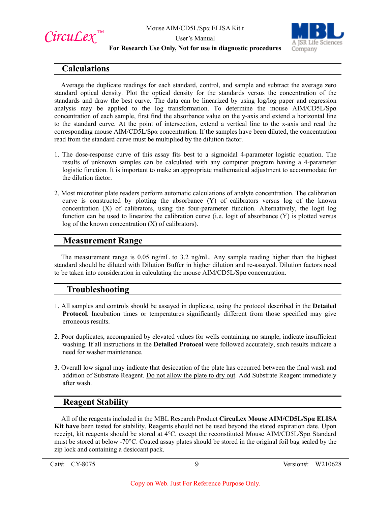

User's Manual



#### **For Research Use Only, Not for use in diagnostic procedures**

## **Calculations**

Average the duplicate readings for each standard, control, and sample and subtract the average zero standard optical density. Plot the optical density for the standards versus the concentration of the standards and draw the best curve. The data can be linearized by using log/log paper and regression analysis may be applied to the log transformation. To determine the mouse AIM/CD5L/Spα concentration of each sample, first find the absorbance value on the y-axis and extend a horizontal line to the standard curve. At the point of intersection, extend a vertical line to the x-axis and read the corresponding mouse AIM/CD5L/Spα concentration. If the samples have been diluted, the concentration read from the standard curve must be multiplied by the dilution factor.

- 1. The dose-response curve of this assay fits best to a sigmoidal 4-parameter logistic equation. The results of unknown samples can be calculated with any computer program having a 4-parameter logistic function. It is important to make an appropriate mathematical adjustment to accommodate for the dilution factor.
- 2. Most microtiter plate readers perform automatic calculations of analyte concentration. The calibration curve is constructed by plotting the absorbance (Y) of calibrators versus log of the known concentration (X) of calibrators, using the four-parameter function. Alternatively, the logit log function can be used to linearize the calibration curve (i.e. logit of absorbance (Y) is plotted versus log of the known concentration (X) of calibrators).

## **Measurement Range**

The measurement range is 0.05 ng/mL to 3.2 ng/mL. Any sample reading higher than the highest standard should be diluted with Dilution Buffer in higher dilution and re-assayed. Dilution factors need to be taken into consideration in calculating the mouse AIM/CD5L/Spα concentration.

## **Troubleshooting**

- 1. All samples and controls should be assayed in duplicate, using the protocol described in the **Detailed Protocol**. Incubation times or temperatures significantly different from those specified may give erroneous results.
- 2. Poor duplicates, accompanied by elevated values for wells containing no sample, indicate insufficient washing. If all instructions in the **Detailed Protocol** were followed accurately, such results indicate a need for washer maintenance.
- 3. Overall low signal may indicate that desiccation of the plate has occurred between the final wash and addition of Substrate Reagent. Do not allow the plate to dry out. Add Substrate Reagent immediately after wash.

## **Reagent Stability**

All of the reagents included in the MBL Research Product **CircuLex Mouse AIM/CD5L/Spα ELISA Kit have** been tested for stability. Reagents should not be used beyond the stated expiration date. Upon receipt, kit reagents should be stored at 4°C, except the reconstituted Mouse AIM/CD5L/Spα Standard must be stored at below -70°C. Coated assay plates should be stored in the original foil bag sealed by the zip lock and containing a desiccant pack.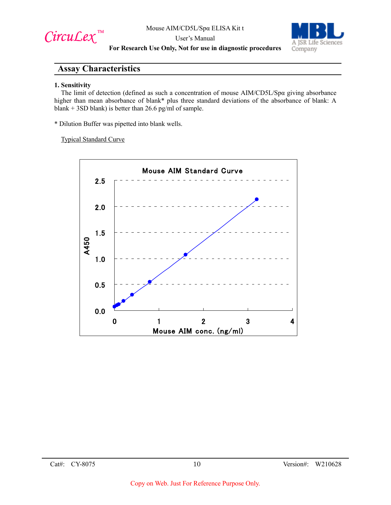$Circu$ *Lex*™

User's Manual



**For Research Use Only, Not for use in diagnostic procedures**

## **Assay Characteristics**

#### **1. Sensitivity**

The limit of detection (defined as such a concentration of mouse AIM/CD5L/Spα giving absorbance higher than mean absorbance of blank\* plus three standard deviations of the absorbance of blank: A blank + 3SD blank) is better than 26.6 pg/ml of sample.

\* Dilution Buffer was pipetted into blank wells.

Typical Standard Curve

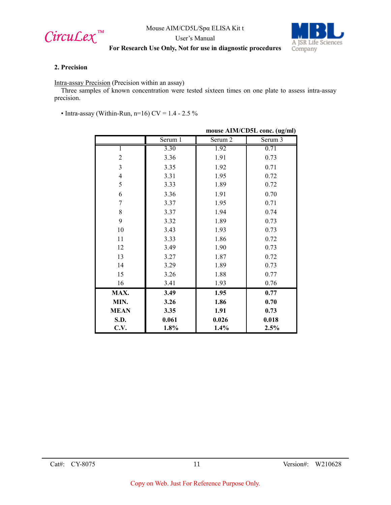

User's Manual



#### **For Research Use Only, Not for use in diagnostic procedures**

#### **2. Precision**

Intra-assay Precision (Precision within an assay)

Three samples of known concentration were tested sixteen times on one plate to assess intra-assay precision.

• Intra-assay (Within-Run, n=16) CV =  $1.4 - 2.5 \%$ 

|                | mouse AIM/CD5L conc. (ug/ml) |                    |         |
|----------------|------------------------------|--------------------|---------|
|                | Serum 1                      | Serum <sub>2</sub> | Serum 3 |
|                | 3.30                         | 1.92               | 0.71    |
| $\overline{2}$ | 3.36                         | 1.91               | 0.73    |
| 3              | 3.35                         | 1.92               | 0.71    |
| $\overline{4}$ | 3.31                         | 1.95               | 0.72    |
| 5              | 3.33                         | 1.89               | 0.72    |
| 6              | 3.36                         | 1.91               | 0.70    |
| 7              | 3.37                         | 1.95               | 0.71    |
| 8              | 3.37                         | 1.94               | 0.74    |
| 9              | 3.32                         | 1.89               | 0.73    |
| 10             | 3.43                         | 1.93               | 0.73    |
| 11             | 3.33                         | 1.86               | 0.72    |
| 12             | 3.49                         | 1.90               | 0.73    |
| 13             | 3.27                         | 1.87               | 0.72    |
| 14             | 3.29                         | 1.89               | 0.73    |
| 15             | 3.26                         | 1.88               | 0.77    |
| 16             | 3.41                         | 1.93               | 0.76    |
| MAX.           | 3.49                         | 1.95               | 0.77    |
| MIN.           | 3.26                         | 1.86               | 0.70    |
| <b>MEAN</b>    | 3.35                         | 1.91               | 0.73    |
| S.D.           | 0.061                        | 0.026              | 0.018   |
| C.V.           | 1.8%                         | 1.4%               | 2.5%    |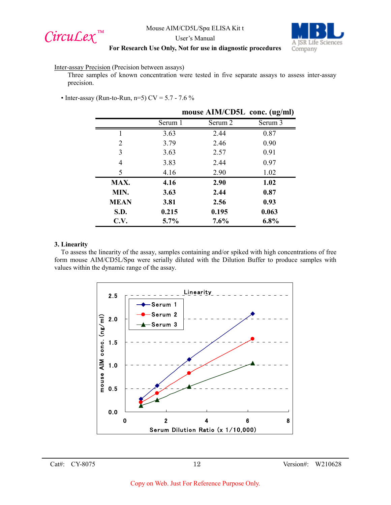



User's Manual

#### **For Research Use Only, Not for use in diagnostic procedures**

#### Inter-assay Precision (Precision between assays)

Three samples of known concentration were tested in five separate assays to assess inter-assay precision.

• Inter-assay (Run-to-Run, n=5)  $CV = 5.7 - 7.6 \%$ 

|             | mouse AIM/CD5L conc. (ug/ml) |         |         |
|-------------|------------------------------|---------|---------|
|             | Serum 1                      | Serum 2 | Serum 3 |
|             | 3.63                         | 2.44    | 0.87    |
| 2           | 3.79                         | 2.46    | 0.90    |
| 3           | 3.63                         | 2.57    | 0.91    |
| 4           | 3.83                         | 2.44    | 0.97    |
| 5           | 4.16                         | 2.90    | 1.02    |
| MAX.        | 4.16                         | 2.90    | 1.02    |
| MIN.        | 3.63                         | 2.44    | 0.87    |
| <b>MEAN</b> | 3.81                         | 2.56    | 0.93    |
| S.D.        | 0.215                        | 0.195   | 0.063   |
| C.V.        | $5.7\%$                      | 7.6%    | 6.8%    |

#### **3. Linearity**

To assess the linearity of the assay, samples containing and/or spiked with high concentrations of free form mouse AIM/CD5L/Spα were serially diluted with the Dilution Buffer to produce samples with values within the dynamic range of the assay.

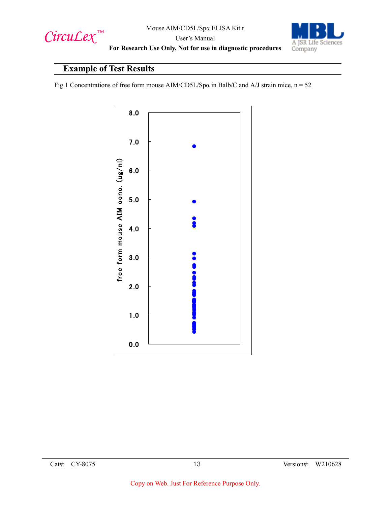

A JSR Life Sciences Company

User's Manual **For Research Use Only, Not for use in diagnostic procedures**

# **Example of Test Results**

Fig.1 Concentrations of free form mouse AIM/CD5L/Spα in Balb/C and A/J strain mice, n = 52

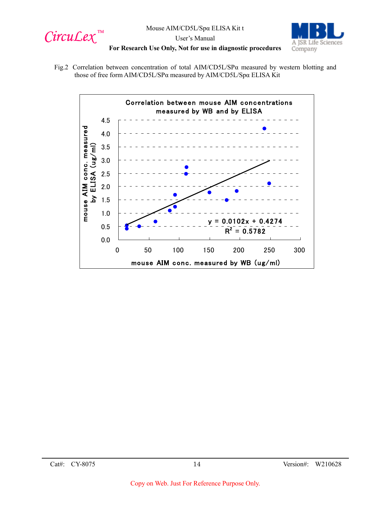



User's Manual **For Research Use Only, Not for use in diagnostic procedures**

Fig.2 Correlation between concentration of total AIM/CD5L/SPα measured by western blotting and those of free form AIM/CD5L/SPα measured by AIM/CD5L/Spα ELISA Kit